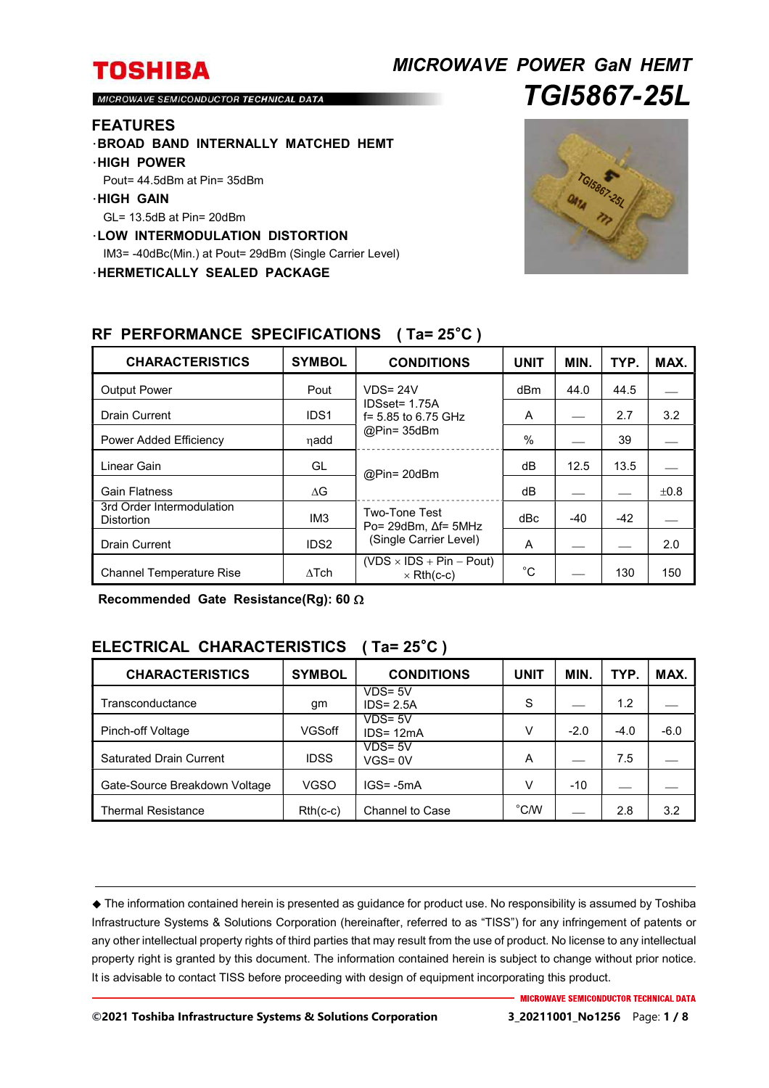# *MICROWAVE POWER GaN HEMT TGI5867-25L*

MICROWAVE SEMICONDUCTOR TECHNICAL DATA

#### **FEATURES**

- ・**BROAD BAND INTERNALLY MATCHED HEMT**
- ・**HIGH POWER**
- Pout= 44.5dBm at Pin= 35dBm
- ・**HIGH GAIN**
- GL= 13.5dB at Pin= 20dBm
- ・**LOW INTERMODULATION DISTORTION**

IM3= -40dBc(Min.) at Pout= 29dBm (Single Carrier Level)

・**HERMETICALLY SEALED PACKAGE** 



| <b>CHARACTERISTICS</b>                         | <b>SYMBOL</b>    | <b>CONDITIONS</b>                                                  | <b>UNIT</b> | MIN.  | TYP.  | MAX. |
|------------------------------------------------|------------------|--------------------------------------------------------------------|-------------|-------|-------|------|
| <b>Output Power</b>                            | Pout             | $VDS = 24V$<br>IDSset= 1.75A<br>f = 5.85 to 6.75 GHz<br>@Pin=35dBm | dBm         | 44.0  | 44.5  |      |
| <b>Drain Current</b>                           | IDS <sub>1</sub> |                                                                    | A           |       | 2.7   | 3.2  |
| Power Added Efficiency                         | ηadd             |                                                                    | $\%$        |       | 39    |      |
| Linear Gain                                    | GL               | @Pin= 20dBm                                                        | dВ          | 12.5  | 13.5  |      |
| <b>Gain Flatness</b>                           | $\Delta G$       |                                                                    | dB          |       |       | ±0.8 |
| 3rd Order Intermodulation<br><b>Distortion</b> | IM <sub>3</sub>  | Two-Tone Test<br>Po= 29dBm, $\Delta f$ = 5MHz                      | dBc         | $-40$ | $-42$ |      |
| <b>Drain Current</b>                           | IDS <sub>2</sub> | (Single Carrier Level)                                             | A           |       |       | 2.0  |
| <b>Channel Temperature Rise</b>                | $\Lambda$ Tch    | $(VDS \times IDs + Pin - Pout)$<br>$\times$ Rth(c-c)               | $^{\circ}C$ |       | 130   | 150  |

#### **RF PERFORMANCE SPECIFICATIONS ( Ta= 25**°**C )**

**Recommended Gate Resistance(Rg): 60** 

## **ELECTRICAL CHARACTERISTICS ( Ta= 25**°**C )**

| <b>CHARACTERISTICS</b>         | <b>SYMBOL</b> | <b>CONDITIONS</b>          | <b>UNIT</b>    | MIN.   | TYP.   | MAX.   |
|--------------------------------|---------------|----------------------------|----------------|--------|--------|--------|
| Transconductance               | gm            | $VDS = 5V$<br>$IDS = 2.5A$ | S              |        | 1.2    |        |
| Pinch-off Voltage              | VGSoff        | $VDS = 5V$<br>$IDS = 12mA$ | V              | $-2.0$ | $-4.0$ | $-6.0$ |
| <b>Saturated Drain Current</b> | <b>IDSS</b>   | $VDS = 5V$<br>$VGS = 0V$   | A              |        | 7.5    |        |
| Gate-Source Breakdown Voltage  | <b>VGSO</b>   | $IGS = -5mA$               | v              | $-10$  |        |        |
| <b>Thermal Resistance</b>      | $Rth(c-c)$    | <b>Channel to Case</b>     | $^{\circ}$ C/W |        | 2.8    | 3.2    |

 The information contained herein is presented as guidance for product use. No responsibility is assumed by Toshiba Infrastructure Systems & Solutions Corporation (hereinafter, referred to as "TISS") for any infringement of patents or any other intellectual property rights of third parties that may result from the use of product. No license to any intellectual property right is granted by this document. The information contained herein is subject to change without prior notice. It is advisable to contact TISS before proceeding with design of equipment incorporating this product.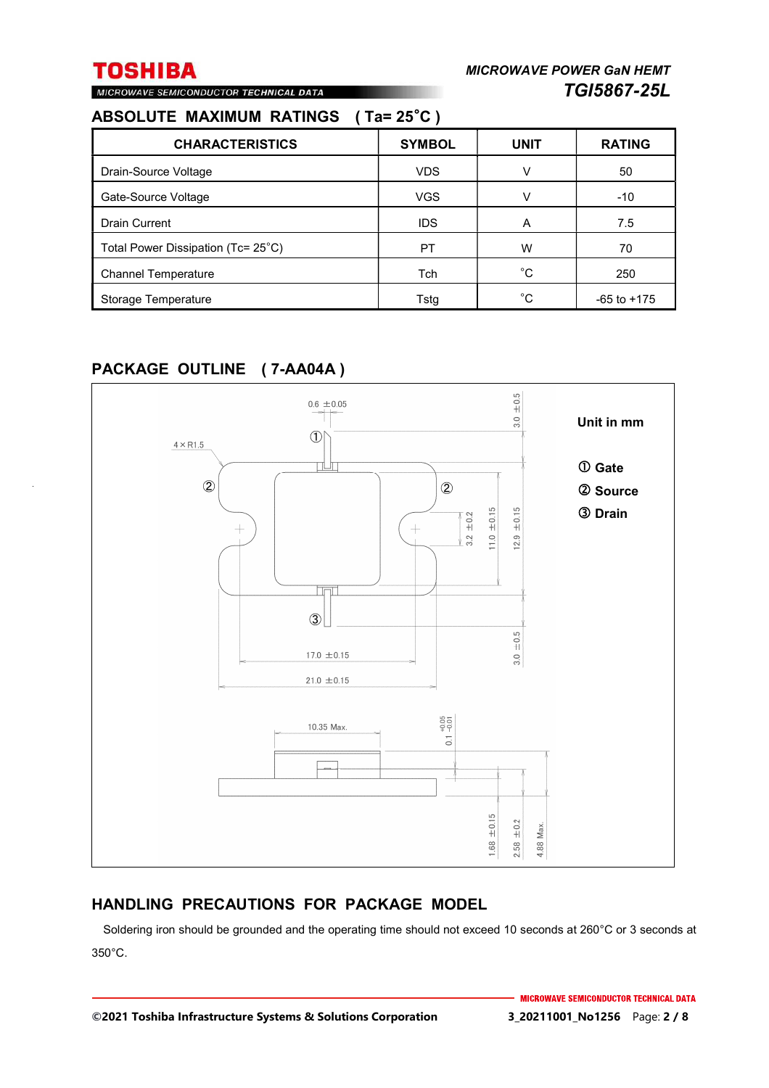# MICROWAVE SEMICONDUCTOR TECHNICAL DATA

## **ABSOLUTE MAXIMUM RATINGS ( Ta= 25**°**C )**

| <b>CHARACTERISTICS</b>             | <b>SYMBOL</b> | <b>UNIT</b> | <b>RATING</b>   |
|------------------------------------|---------------|-------------|-----------------|
| Drain-Source Voltage               | <b>VDS</b>    | v           | 50              |
| Gate-Source Voltage                | <b>VGS</b>    | v           | $-10$           |
| <b>Drain Current</b>               | <b>IDS</b>    | A           | 7.5             |
| Total Power Dissipation (Tc= 25°C) | PT            | w           | 70              |
| <b>Channel Temperature</b>         | Tch           | °С          | 250             |
| Storage Temperature                | Tstg          | °C          | $-65$ to $+175$ |

## **PACKAGE OUTLINE ( 7-AA04A )**



## **HANDLING PRECAUTIONS FOR PACKAGE MODEL**

Soldering iron should be grounded and the operating time should not exceed 10 seconds at 260°C or 3 seconds at 350°C.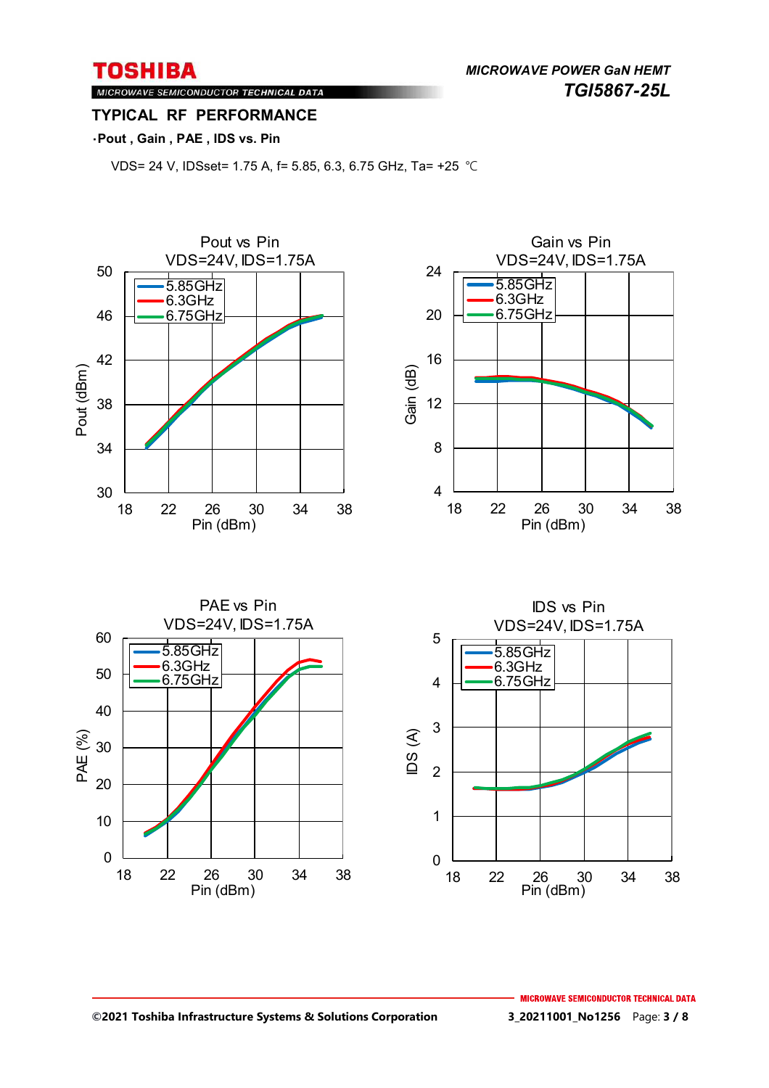*MICROWAVE POWER GaN HEMT TGI5867-25L* 

MICROWAVE SEMICONDUCTOR TECHNICAL DATA **TYPICAL RF PERFORMANCE** 

### ・**Pout , Gain , PAE , IDS vs. Pin**

VDS= 24 V, IDSset= 1.75 A, f= 5.85, 6.3, 6.75 GHz, Ta= +25 ℃

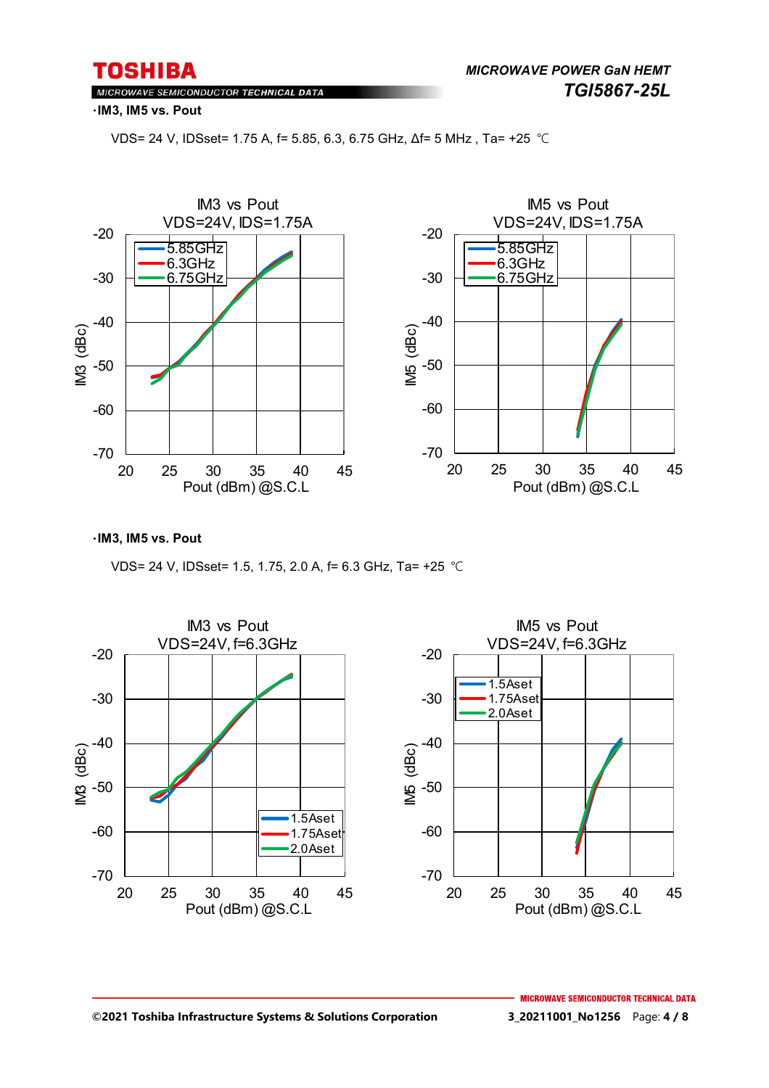MICROWAVE SEMICONDUCTOR TECHNICAL DATA

・**IM3, IM5 vs. Pout**

VDS= 24 V, IDSset= 1.75 A, f= 5.85, 6.3, 6.75 GHz, Δf= 5 MHz , Ta= +25 ℃



・**IM3, IM5 vs. Pout**

VDS= 24 V, IDSset= 1.5, 1.75, 2.0 A, f= 6.3 GHz, Ta= +25 ℃

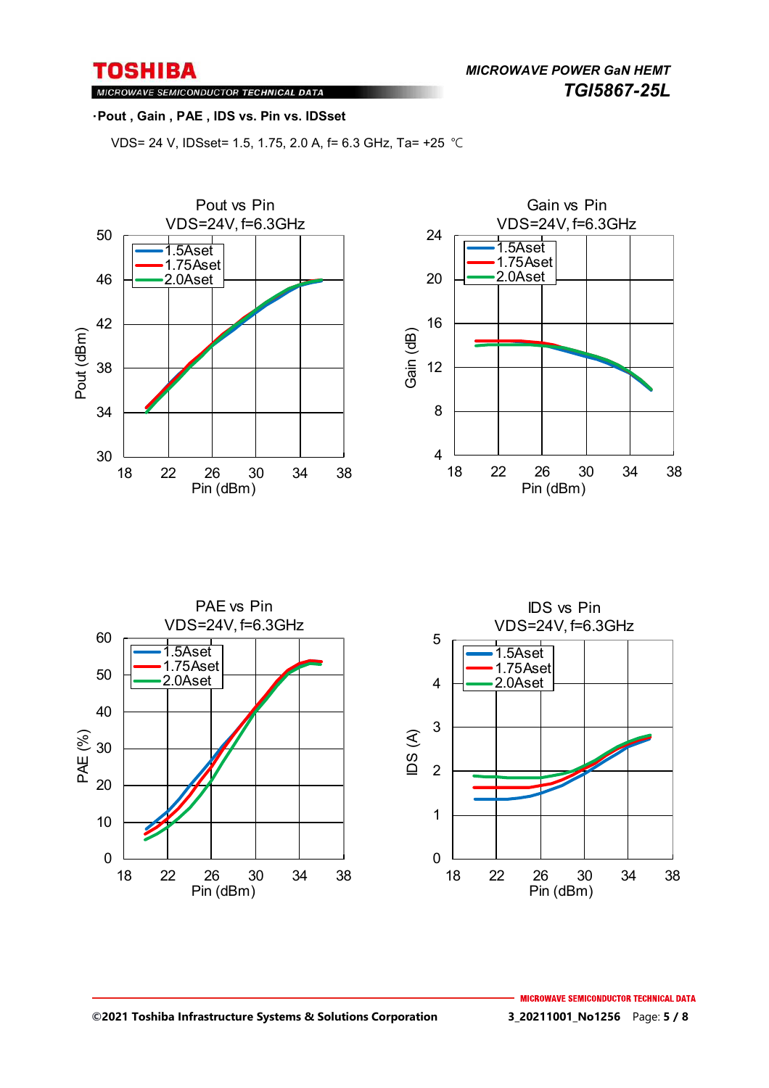*MICROWAVE POWER GaN HEMT TGI5867-25L* 

MICROWAVE SEMICONDUCTOR TECHNICAL DATA

#### ・**Pout , Gain , PAE , IDS vs. Pin vs. IDSset**

VDS= 24 V, IDSset= 1.5, 1.75, 2.0 A, f= 6.3 GHz, Ta= +25 ℃





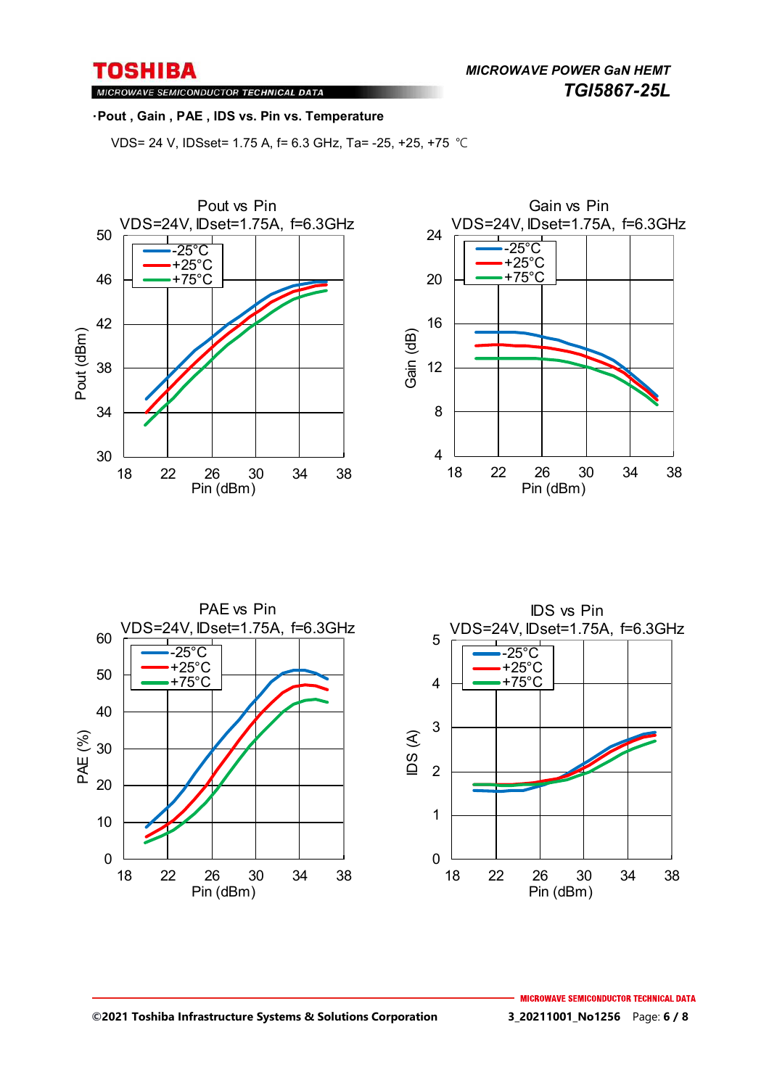MICROWAVE SEMICONDUCTOR TECHNICAL DATA

#### ・**Pout , Gain , PAE , IDS vs. Pin vs. Temperature**

VDS= 24 V, IDSset= 1.75 A, f= 6.3 GHz, Ta= -25, +25, +75 ℃





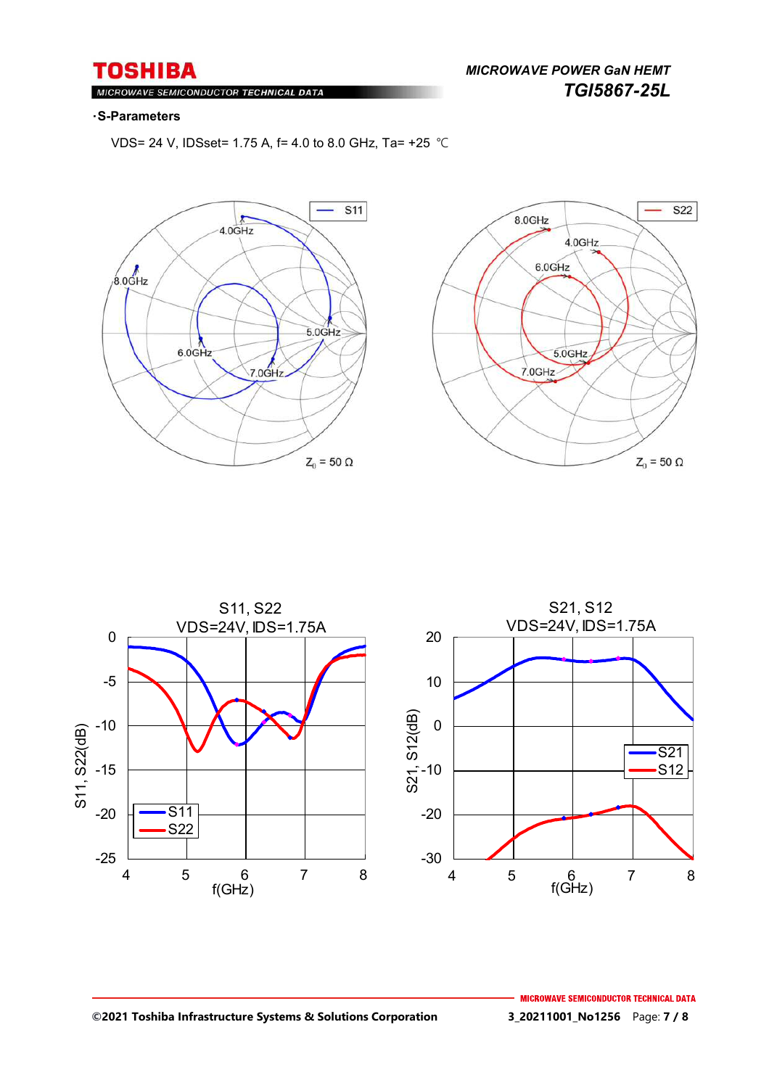*MICROWAVE POWER GaN HEMT TGI5867-25L* 

#### MIC ROWAVE SEMICONDUCTOR TECHNICAL DATA

#### ・**S-Parameters**

VDS= 24 V, IDSset= 1.75 A, f= 4.0 to 8.0 GHz, Ta= +25 ℃







#### **©2021 Toshiba Infrastructure Systems & Solutions Corporation 3\_20211001\_No1256** Page: **7 / 8**